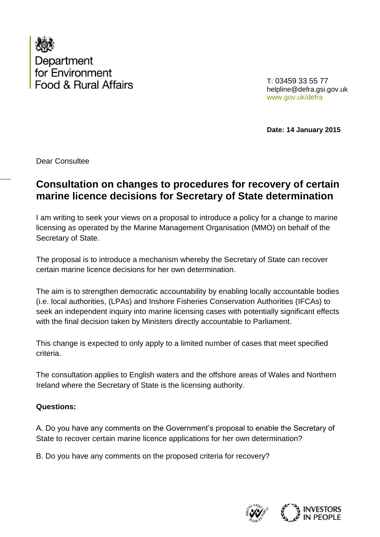

T: 03459 33 55 77 helpline@defra.gsi.gov.uk www.gov.uk/defra

**Date: 14 January 2015**

Dear Consultee

## **Consultation on changes to procedures for recovery of certain marine licence decisions for Secretary of State determination**

I am writing to seek your views on a proposal to introduce a policy for a change to marine licensing as operated by the Marine Management Organisation (MMO) on behalf of the Secretary of State.

The proposal is to introduce a mechanism whereby the Secretary of State can recover certain marine licence decisions for her own determination.

The aim is to strengthen democratic accountability by enabling locally accountable bodies (i.e. local authorities, (LPAs) and Inshore Fisheries Conservation Authorities (IFCAs) to seek an independent inquiry into marine licensing cases with potentially significant effects with the final decision taken by Ministers directly accountable to Parliament.

This change is expected to only apply to a limited number of cases that meet specified criteria.

The consultation applies to English waters and the offshore areas of Wales and Northern Ireland where the Secretary of State is the licensing authority.

## **Questions:**

A. Do you have any comments on the Government's proposal to enable the Secretary of State to recover certain marine licence applications for her own determination?

B. Do you have any comments on the proposed criteria for recovery?

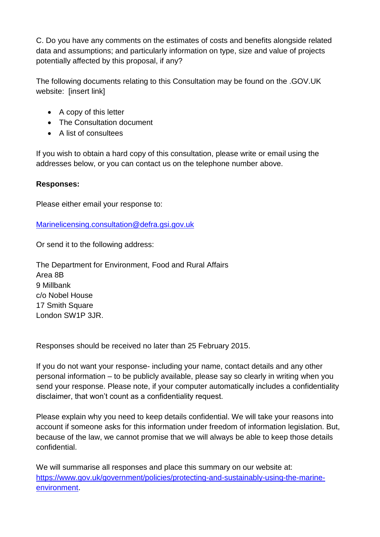C. Do you have any comments on the estimates of costs and benefits alongside related data and assumptions; and particularly information on type, size and value of projects potentially affected by this proposal, if any?

The following documents relating to this Consultation may be found on the .GOV.UK website: [insert link]

- A copy of this letter
- The Consultation document
- A list of consultees

If you wish to obtain a hard copy of this consultation, please write or email using the addresses below, or you can contact us on the telephone number above.

## **Responses:**

Please either email your response to:

[Marinelicensing.consultation@defra.gsi.gov.uk](mailto:Marinelicensing.consultation@defra.gsi.gov.uk)

Or send it to the following address:

The Department for Environment, Food and Rural Affairs Area 8B 9 Millbank c/o Nobel House 17 Smith Square London SW1P 3JR.

Responses should be received no later than 25 February 2015.

If you do not want your response- including your name, contact details and any other personal information – to be publicly available, please say so clearly in writing when you send your response. Please note, if your computer automatically includes a confidentiality disclaimer, that won't count as a confidentiality request.

Please explain why you need to keep details confidential. We will take your reasons into account if someone asks for this information under freedom of information legislation. But, because of the law, we cannot promise that we will always be able to keep those details confidential.

We will summarise all responses and place this summary on our website at: [https://www.gov.uk/government/policies/protecting-and-sustainably-using-the-marine](https://www.gov.uk/government/policies/protecting-and-sustainably-using-the-marine-environment)[environment.](https://www.gov.uk/government/policies/protecting-and-sustainably-using-the-marine-environment)